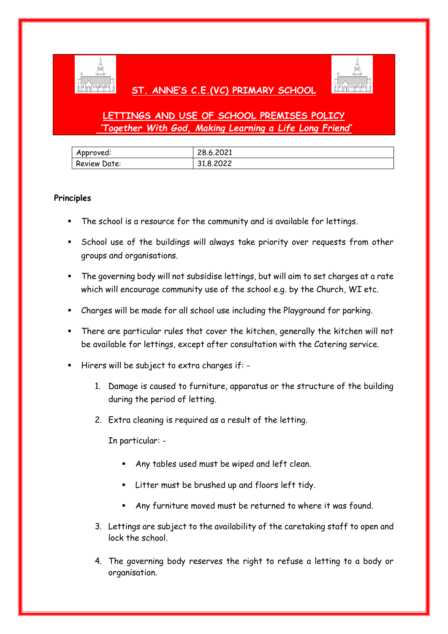

# **ST. ANNE'S C.E.(VC) PRIMARY SCHOOL**



# **LETTINGS AND USE OF SCHOOL PREMISES POLICY** *'Together With God, Making Learning a Life Long Friend'*

| Approved:    | 28.6.2021 |
|--------------|-----------|
| Review Date: | 31.8.2022 |

# **Principles**

- The school is a resource for the community and is available for lettings.
- School use of the buildings will always take priority over requests from other groups and organisations.
- The governing body will not subsidise lettings, but will aim to set charges at a rate which will encourage community use of the school e.g. by the Church, WI etc.
- Charges will be made for all school use including the Playground for parking.
- There are particular rules that cover the kitchen, generally the kitchen will not be available for lettings, except after consultation with the Catering service.
- Hirers will be subject to extra charges if:
	- 1. Damage is caused to furniture, apparatus or the structure of the building during the period of letting.
	- 2. Extra cleaning is required as a result of the letting.

In particular: -

- Any tables used must be wiped and left clean.
- Litter must be brushed up and floors left tidy.
- Any furniture moved must be returned to where it was found.
- 3. Lettings are subject to the availability of the caretaking staff to open and lock the school.
- 4. The governing body reserves the right to refuse a letting to a body or organisation.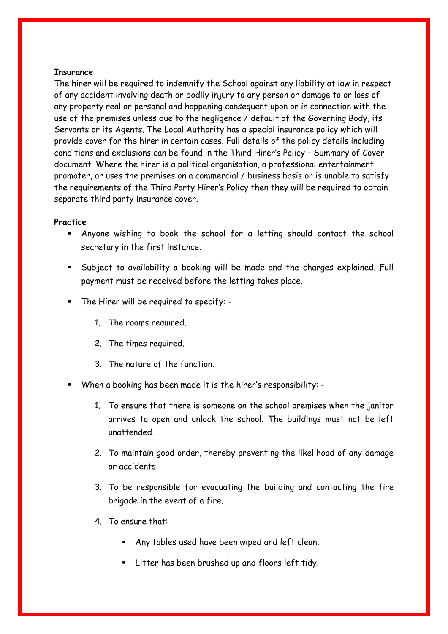### **Insurance**

The hirer will be required to indemnify the School against any liability at law in respect of any accident involving death or bodily injury to any person or damage to or loss of any property real or personal and happening consequent upon or in connection with the use of the premises unless due to the negligence / default of the Governing Body, its Servants or its Agents. The Local Authority has a special insurance policy which will provide cover for the hirer in certain cases. Full details of the policy details including conditions and exclusions can be found in the Third Hirer's Policy – Summary of Cover document. Where the hirer is a political organisation, a professional entertainment promoter, or uses the premises on a commercial / business basis or is unable to satisfy the requirements of the Third Party Hirer's Policy then they will be required to obtain separate third party insurance cover.

### **Practice**

- Anyone wishing to book the school for a letting should contact the school secretary in the first instance.
- Subject to availability a booking will be made and the charges explained. Full payment must be received before the letting takes place.
- The Hirer will be required to specify:
	- 1. The rooms required.
	- 2. The times required.
	- 3. The nature of the function.
- When a booking has been made it is the hirer's responsibility:
	- 1. To ensure that there is someone on the school premises when the janitor arrives to open and unlock the school. The buildings must not be left unattended.
	- 2. To maintain good order, thereby preventing the likelihood of any damage or accidents.
	- 3. To be responsible for evacuating the building and contacting the fire brigade in the event of a fire.
	- 4. To ensure that:-
		- Any tables used have been wiped and left clean.
		- Litter has been brushed up and floors left tidy.